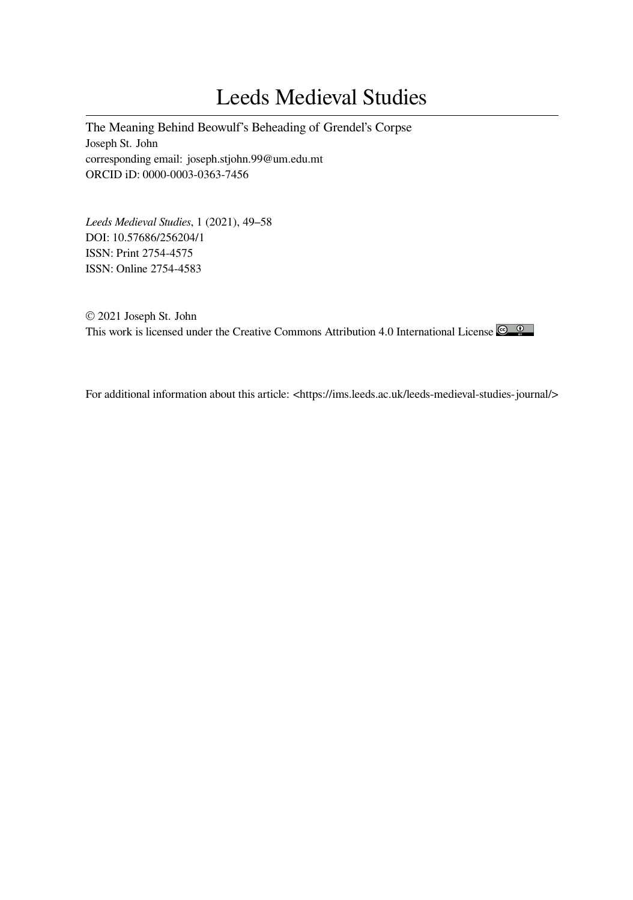# Leeds Medieval Studies

The Meaning Behind Beowulf's Beheading of Grendel's Corpse Joseph St. John corresponding email: joseph.stjohn.99@um.edu.mt ORCID iD: 0000-0003-0363-7456

*Leeds Medieval Studies*, 1 (2021), 49–58 DOI: 10.57686/256204/1 ISSN: Print 2754-4575 ISSN: Online 2754-4583

© 2021 Joseph St. John This work is licensed under the Creative Commons Attribution 4.0 International License

For additional information about this article: <https://ims.leeds.ac.uk/leeds-medieval-studies-journal/>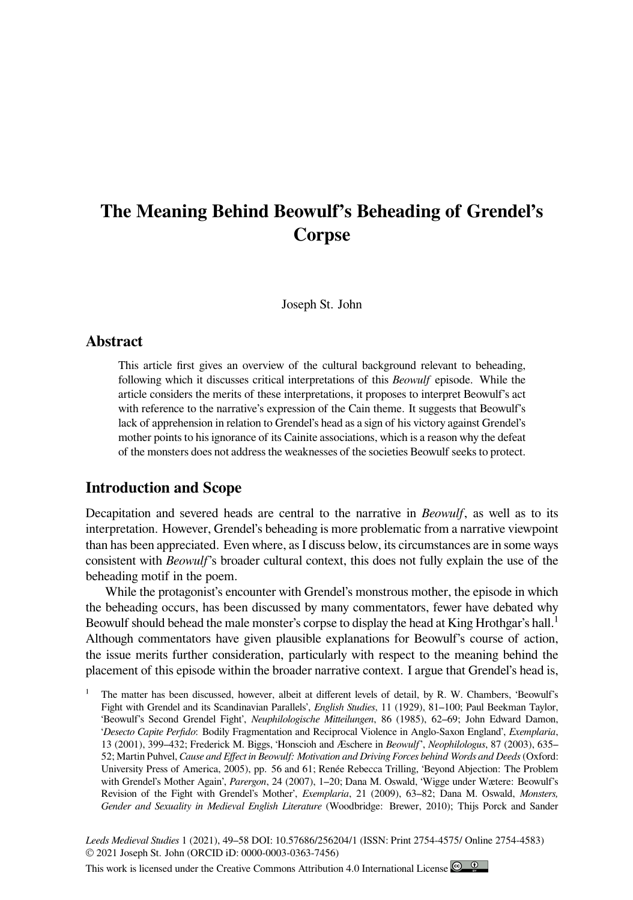## **The Meaning Behind Beowulf's Beheading of Grendel's Corpse**

Joseph St. John

#### **Abstract**

This article first gives an overview of the cultural background relevant to beheading, following which it discusses critical interpretations of this *Beowulf* episode. While the article considers the merits of these interpretations, it proposes to interpret Beowulf's act with reference to the narrative's expression of the Cain theme. It suggests that Beowulf's lack of apprehension in relation to Grendel's head as a sign of his victory against Grendel's mother points to his ignorance of its Cainite associations, which is a reason why the defeat of the monsters does not address the weaknesses of the societies Beowulf seeks to protect.

#### **Introduction and Scope**

Decapitation and severed heads are central to the narrative in *Beowulf*, as well as to its interpretation. However, Grendel's beheading is more problematic from a narrative viewpoint than has been appreciated. Even where, as I discuss below, its circumstances are in some ways consistent with *Beowulf*'s broader cultural context, this does not fully explain the use of the beheading motif in the poem.

While the protagonist's encounter with Grendel's monstrous mother, the episode in which the beheading occurs, has been discussed by many commentators, fewer have debated why Beowulf should behead the male monster's corpse to display the head at King Hrothgar's hall.<sup>1</sup> Although commentators have given plausible explanations for Beowulf's course of action, the issue merits further consideration, particularly with respect to the meaning behind the placement of this episode within the broader narrative context. I argue that Grendel's head is,

The matter has been discussed, however, albeit at different levels of detail, by R. W. Chambers, 'Beowulf's Fight with Grendel and its Scandinavian Parallels', *English Studies*, 11 (1929), 81–100; Paul Beekman Taylor, 'Beowulf's Second Grendel Fight', *Neuphilologische Mitteilungen*, 86 (1985), 62–69; John Edward Damon, '*Desecto Capite Perfido*: Bodily Fragmentation and Reciprocal Violence in Anglo-Saxon England', *Exemplaria*, 13 (2001), 399–432; Frederick M. Biggs, 'Honscioh and Æschere in *Beowulf*', *Neophilologus*, 87 (2003), 635– 52; Martin Puhvel, *Cause and Effect in Beowulf: Motivation and Driving Forces behind Words and Deeds* (Oxford: University Press of America, 2005), pp. 56 and 61; Renée Rebecca Trilling, 'Beyond Abjection: The Problem with Grendel's Mother Again', *Parergon*, 24 (2007), 1–20; Dana M. Oswald, 'Wigge under Wætere: Beowulf's Revision of the Fight with Grendel's Mother', *Exemplaria*, 21 (2009), 63–82; Dana M. Oswald, *Monsters, Gender and Sexuality in Medieval English Literature* (Woodbridge: Brewer, 2010); Thijs Porck and Sander

*Leeds Medieval Studies* 1 (2021), 49–58 DOI: 10.57686/256204/1 (ISSN: Print 2754-4575/ Online 2754-4583) © 2021 Joseph St. John (ORCID iD: 0000-0003-0363-7456)

This work is licensed under the Creative Commons Attribution 4.0 International License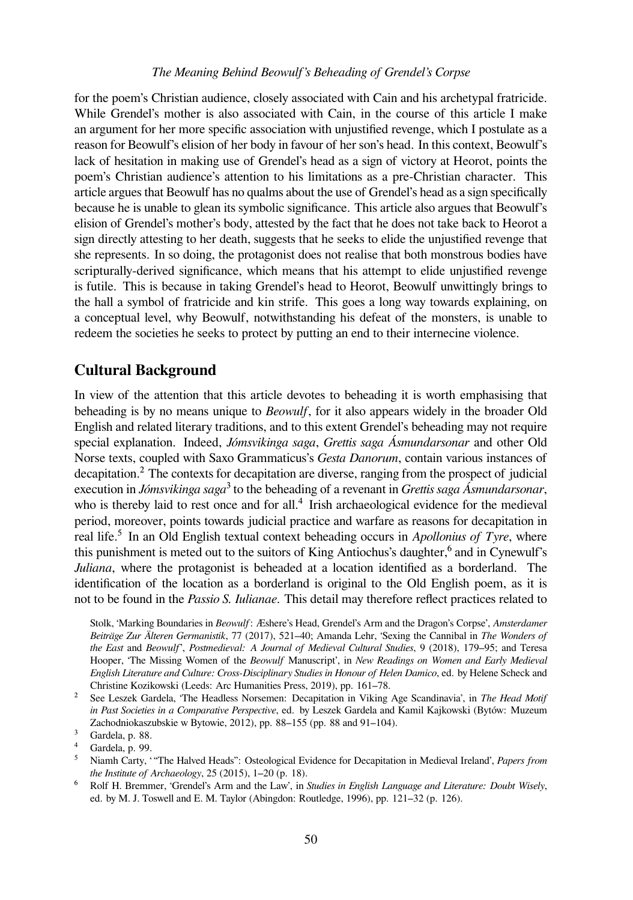#### *The Meaning Behind Beowulf's Beheading of Grendel's Corpse*

for the poem's Christian audience, closely associated with Cain and his archetypal fratricide. While Grendel's mother is also associated with Cain, in the course of this article I make an argument for her more specific association with unjustified revenge, which I postulate as a reason for Beowulf's elision of her body in favour of her son's head. In this context, Beowulf's lack of hesitation in making use of Grendel's head as a sign of victory at Heorot, points the poem's Christian audience's attention to his limitations as a pre-Christian character. This article argues that Beowulf has no qualms about the use of Grendel's head as a sign specifically because he is unable to glean its symbolic significance. This article also argues that Beowulf's elision of Grendel's mother's body, attested by the fact that he does not take back to Heorot a sign directly attesting to her death, suggests that he seeks to elide the unjustified revenge that she represents. In so doing, the protagonist does not realise that both monstrous bodies have scripturally-derived significance, which means that his attempt to elide unjustified revenge is futile. This is because in taking Grendel's head to Heorot, Beowulf unwittingly brings to the hall a symbol of fratricide and kin strife. This goes a long way towards explaining, on a conceptual level, why Beowulf, notwithstanding his defeat of the monsters, is unable to redeem the societies he seeks to protect by putting an end to their internecine violence.

#### **Cultural Background**

In view of the attention that this article devotes to beheading it is worth emphasising that beheading is by no means unique to *Beowulf*, for it also appears widely in the broader Old English and related literary traditions, and to this extent Grendel's beheading may not require special explanation. Indeed, *Jómsvikinga saga*, *Grettis saga Ásmundarsonar* and other Old Norse texts, coupled with Saxo Grammaticus's *Gesta Danorum*, contain various instances of decapitation.<sup>2</sup> The contexts for decapitation are diverse, ranging from the prospect of judicial execution in *Jómsvikinga saga*<sup>3</sup> to the beheading of a revenant in *Grettis saga Ásmundarsonar*, who is thereby laid to rest once and for all.<sup>4</sup> Irish archaeological evidence for the medieval period, moreover, points towards judicial practice and warfare as reasons for decapitation in real life.<sup>5</sup> In an Old English textual context beheading occurs in *Apollonius of Tyre*, where this punishment is meted out to the suitors of King Antiochus's daughter,<sup>6</sup> and in Cynewulf's *Juliana*, where the protagonist is beheaded at a location identified as a borderland. The identification of the location as a borderland is original to the Old English poem, as it is not to be found in the *Passio S. Iulianae*. This detail may therefore reflect practices related to

Stolk, 'Marking Boundaries in *Beowulf*: Æshere's Head, Grendel's Arm and the Dragon's Corpse', *Amsterdamer Beiträge Zur Älteren Germanistik*, 77 (2017), 521–40; Amanda Lehr, 'Sexing the Cannibal in *The Wonders of the East* and *Beowulf*', *Postmedieval: A Journal of Medieval Cultural Studies*, 9 (2018), 179–95; and Teresa Hooper, 'The Missing Women of the *Beowulf* Manuscript', in *New Readings on Women and Early Medieval English Literature and Culture: Cross-Disciplinary Studies in Honour of Helen Damico*, ed. by Helene Scheck and Christine Kozikowski (Leeds: Arc Humanities Press, 2019), pp. 161–78.

<sup>2</sup> See Leszek Gardela, 'The Headless Norsemen: Decapitation in Viking Age Scandinavia', in The Head Motif *in Past Societies in a Comparative Perspective*, ed. by Leszek Gardela and Kamil Kajkowski (Bytów: Muzeum Zachodniokaszubskie w Bytowie, 2012), pp. 88–155 (pp. 88 and 91–104).

 $\frac{4}{5}$  Gardela, p. 99.

<sup>&</sup>lt;sup>3</sup> Gardela, p. 88.

⁵ Niamh Carty, ' "The Halved Heads": Osteological Evidence for Decapitation in Medieval Ireland', *Papers from the Institute of Archaeology*, 25 (2015), 1–20 (p. 18).

⁶ Rolf H. Bremmer, 'Grendel's Arm and the Law', in *Studies in English Language and Literature: Doubt Wisely*, ed. by M. J. Toswell and E. M. Taylor (Abingdon: Routledge, 1996), pp. 121–32 (p. 126).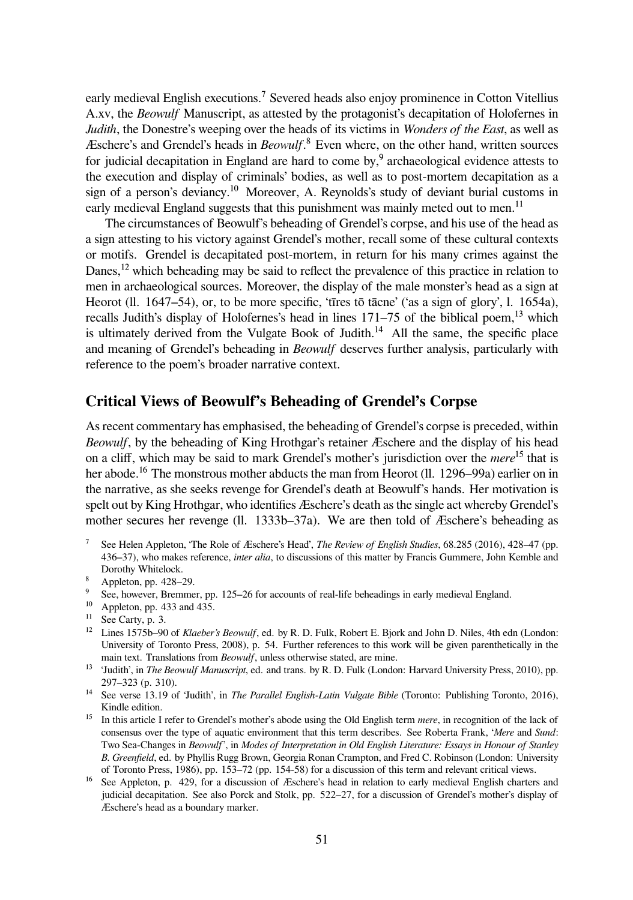early medieval English executions.<sup>7</sup> Severed heads also enjoy prominence in Cotton Vitellius A.xv, the *Beowulf* Manuscript, as attested by the protagonist's decapitation of Holofernes in *Judith*, the Donestre's weeping over the heads of its victims in *Wonders of the East*, as well as Æschere's and Grendel's heads in *Beowulf*.<sup>8</sup> Even where, on the other hand, written sources for judicial decapitation in England are hard to come by,<sup>9</sup> archaeological evidence attests to the execution and display of criminals' bodies, as well as to post-mortem decapitation as a sign of a person's deviancy.<sup>10</sup> Moreover, A. Reynolds's study of deviant burial customs in early medieval England suggests that this punishment was mainly meted out to men.<sup>11</sup>

The circumstances of Beowulf's beheading of Grendel's corpse, and his use of the head as a sign attesting to his victory against Grendel's mother, recall some of these cultural contexts or motifs. Grendel is decapitated post-mortem, in return for his many crimes against the Danes,  $^{12}$  which beheading may be said to reflect the prevalence of this practice in relation to men in archaeological sources. Moreover, the display of the male monster's head as a sign at Heorot (ll. 1647–54), or, to be more specific, 'tīres tō tācne' ('as a sign of glory', l. 1654a), recalls Judith's display of Holofernes's head in lines  $171-75$  of the biblical poem,  $^{13}$  which is ultimately derived from the Vulgate Book of Judith.<sup>14</sup> All the same, the specific place and meaning of Grendel's beheading in *Beowulf* deserves further analysis, particularly with reference to the poem's broader narrative context.

### **Critical Views of Beowulf's Beheading of Grendel's Corpse**

As recent commentary has emphasised, the beheading of Grendel's corpse is preceded, within *Beowulf*, by the beheading of King Hrothgar's retainer Æschere and the display of his head on a cliff, which may be said to mark Grendel's mother's jurisdiction over the *mere*<sup>15</sup> that is her abode.<sup>16</sup> The monstrous mother abducts the man from Heorot (ll. 1296–99a) earlier on in the narrative, as she seeks revenge for Grendel's death at Beowulf's hands. Her motivation is spelt out by King Hrothgar, who identifies Æschere's death as the single act whereby Grendel's mother secures her revenge (ll. 1333b–37a). We are then told of Æschere's beheading as

- See Helen Appleton, 'The Role of Æschere's Head', *The Review of English Studies*, 68.285 (2016), 428–47 (pp. 436–37), who makes reference, *inter alia*, to discussions of this matter by Francis Gummere, John Kemble and Dorothy Whitelock.
- ⁸ Appleton, pp. 428–29.
- See, however, Bremmer, pp. 125–26 for accounts of real-life beheadings in early medieval England.
- <sup>10</sup> Appleton, pp. 433 and 435.<br><sup>11</sup> See Carty, p. 3.
- See Carty, p. 3.
- <sup>12</sup> Lines 1575b–90 of *Klaeber's Beowulf*, ed. by R. D. Fulk, Robert E. Bjork and John D. Niles, 4th edn (London: University of Toronto Press, 2008), p. 54. Further references to this work will be given parenthetically in the main text. Translations from *Beowulf*, unless otherwise stated, are mine.
- <sup>13</sup> 'Judith', in *The Beowulf Manuscript*, ed. and trans. by R. D. Fulk (London: Harvard University Press, 2010), pp. 297–323 (p. 310).
- <sup>14</sup> See verse 13.19 of 'Judith', in *The Parallel English-Latin Vulgate Bible* (Toronto: Publishing Toronto, 2016), Kindle edition.
- <sup>15</sup> In this article I refer to Grendel's mother's abode using the Old English term *mere*, in recognition of the lack of consensus over the type of aquatic environment that this term describes. See Roberta Frank, '*Mere* and *Sund*: Two Sea-Changes in *Beowulf*', in *Modes of Interpretation in Old English Literature: Essays in Honour of Stanley B. Greenfield*, ed. by Phyllis Rugg Brown, Georgia Ronan Crampton, and Fred C. Robinson (London: University of Toronto Press, 1986), pp. 153–72 (pp. 154-58) for a discussion of this term and relevant critical views.
- <sup>16</sup> See Appleton, p. 429, for a discussion of Æschere's head in relation to early medieval English charters and judicial decapitation. See also Porck and Stolk, pp. 522–27, for a discussion of Grendel's mother's display of Æschere's head as a boundary marker.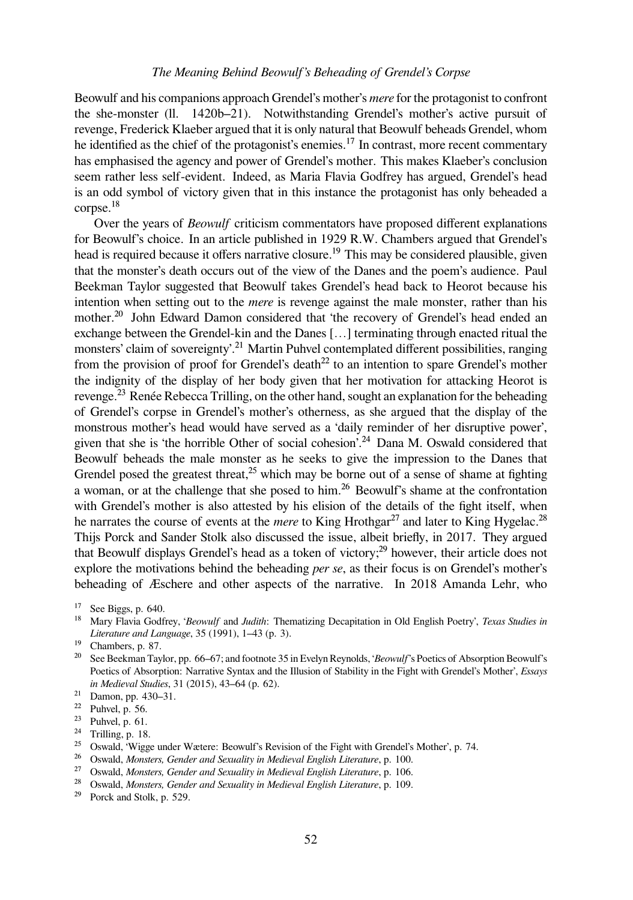Beowulf and his companions approach Grendel's mother's *mere* for the protagonist to confront the she-monster (ll. 1420b–21). Notwithstanding Grendel's mother's active pursuit of revenge, Frederick Klaeber argued that it is only natural that Beowulf beheads Grendel, whom he identified as the chief of the protagonist's enemies.<sup>17</sup> In contrast, more recent commentary has emphasised the agency and power of Grendel's mother. This makes Klaeber's conclusion seem rather less self-evident. Indeed, as Maria Flavia Godfrey has argued, Grendel's head is an odd symbol of victory given that in this instance the protagonist has only beheaded a  $corpse.<sup>18</sup>$ 

Over the years of *Beowulf* criticism commentators have proposed different explanations for Beowulf's choice. In an article published in 1929 R.W. Chambers argued that Grendel's head is required because it offers narrative closure.<sup>19</sup> This may be considered plausible, given that the monster's death occurs out of the view of the Danes and the poem's audience. Paul Beekman Taylor suggested that Beowulf takes Grendel's head back to Heorot because his intention when setting out to the *mere* is revenge against the male monster, rather than his mother.<sup>20</sup> John Edward Damon considered that 'the recovery of Grendel's head ended an exchange between the Grendel-kin and the Danes […] terminating through enacted ritual the monsters' claim of sovereignty'.<sup>21</sup> Martin Puhvel contemplated different possibilities, ranging from the provision of proof for Grendel's death<sup>22</sup> to an intention to spare Grendel's mother the indignity of the display of her body given that her motivation for attacking Heorot is revenge.<sup>23</sup> Renée Rebecca Trilling, on the other hand, sought an explanation for the beheading of Grendel's corpse in Grendel's mother's otherness, as she argued that the display of the monstrous mother's head would have served as a 'daily reminder of her disruptive power', given that she is 'the horrible Other of social cohesion'.<sup>24</sup> Dana M. Oswald considered that Beowulf beheads the male monster as he seeks to give the impression to the Danes that Grendel posed the greatest threat,<sup>25</sup> which may be borne out of a sense of shame at fighting a woman, or at the challenge that she posed to him.<sup>26</sup> Beowulf's shame at the confrontation with Grendel's mother is also attested by his elision of the details of the fight itself, when he narrates the course of events at the *mere* to King Hrothgar<sup>27</sup> and later to King Hygelac.<sup>28</sup> Thijs Porck and Sander Stolk also discussed the issue, albeit briefly, in 2017. They argued that Beowulf displays Grendel's head as a token of victory;<sup>29</sup> however, their article does not explore the motivations behind the beheading *per se*, as their focus is on Grendel's mother's beheading of Æschere and other aspects of the narrative. In 2018 Amanda Lehr, who

- <sup>18</sup> Mary Flavia Godfrey, '*Beowulf* and *Judith*: Thematizing Decapitation in Old English Poetry', *Texas Studies in Literature and Language*, 35 (1991), 1–43 (p. 3).
- <sup>19</sup> Chambers, p. 87.
- <sup>20</sup> See Beekman Taylor, pp. 66–67; and footnote 35 in Evelyn Reynolds, '*Beowulf*'s Poetics of Absorption Beowulf's Poetics of Absorption: Narrative Syntax and the Illusion of Stability in the Fight with Grendel's Mother', *Essays in Medieval Studies*, 31 (2015), 43–64 (p. 62).

- $22$  Puhvel, p. 56.
- $23$  Puhvel, p. 61.
- <sup>24</sup> Trilling, p. 18.

- <sup>26</sup> Oswald, *Monsters, Gender and Sexuality in Medieval English Literature*, p. 100.
- <sup>27</sup> Oswald, *Monsters, Gender and Sexuality in Medieval English Literature*, p. 106.
- <sup>28</sup> Oswald, *Monsters, Gender and Sexuality in Medieval English Literature*, p. 109.
- <sup>29</sup> Porck and Stolk, p. 529.

 $17$  See Biggs, p. 640.

 $21$  Damon, pp. 430–31.

<sup>&</sup>lt;sup>25</sup> Oswald, 'Wigge under Wætere: Beowulf's Revision of the Fight with Grendel's Mother', p. 74.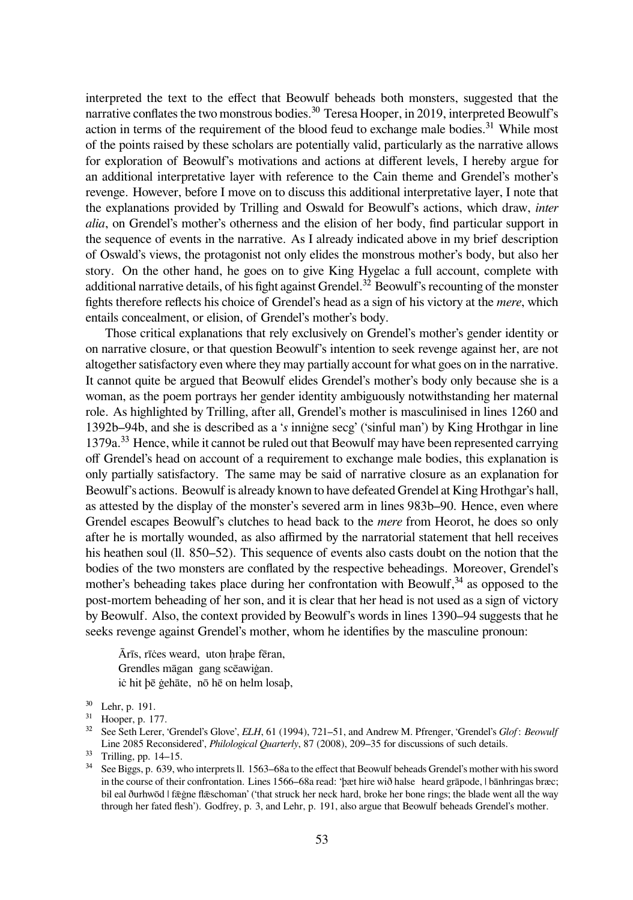interpreted the text to the effect that Beowulf beheads both monsters, suggested that the narrative conflates the two monstrous bodies.<sup>30</sup> Teresa Hooper, in 2019, interpreted Beowulf's action in terms of the requirement of the blood feud to exchange male bodies.<sup>31</sup> While most of the points raised by these scholars are potentially valid, particularly as the narrative allows for exploration of Beowulf's motivations and actions at different levels, I hereby argue for an additional interpretative layer with reference to the Cain theme and Grendel's mother's revenge. However, before I move on to discuss this additional interpretative layer, I note that the explanations provided by Trilling and Oswald for Beowulf's actions, which draw, *inter alia*, on Grendel's mother's otherness and the elision of her body, find particular support in the sequence of events in the narrative. As I already indicated above in my brief description of Oswald's views, the protagonist not only elides the monstrous mother's body, but also her story. On the other hand, he goes on to give King Hygelac a full account, complete with additional narrative details, of his fight against Grendel.<sup>32</sup> Beowulf's recounting of the monster fights therefore reflects his choice of Grendel's head as a sign of his victory at the *mere*, which entails concealment, or elision, of Grendel's mother's body.

Those critical explanations that rely exclusively on Grendel's mother's gender identity or on narrative closure, or that question Beowulf's intention to seek revenge against her, are not altogether satisfactory even where they may partially account for what goes on in the narrative. It cannot quite be argued that Beowulf elides Grendel's mother's body only because she is a woman, as the poem portrays her gender identity ambiguously notwithstanding her maternal role. As highlighted by Trilling, after all, Grendel's mother is masculinised in lines 1260 and 1392b–94b, and she is described as a '*s* inniġne secg' ('sinful man') by King Hrothgar in line 1379a.<sup>33</sup> Hence, while it cannot be ruled out that Beowulf may have been represented carrying off Grendel's head on account of a requirement to exchange male bodies, this explanation is only partially satisfactory. The same may be said of narrative closure as an explanation for Beowulf's actions. Beowulf is already known to have defeated Grendel at King Hrothgar's hall, as attested by the display of the monster's severed arm in lines 983b–90. Hence, even where Grendel escapes Beowulf's clutches to head back to the *mere* from Heorot, he does so only after he is mortally wounded, as also affirmed by the narratorial statement that hell receives his heathen soul (ll. 850–52). This sequence of events also casts doubt on the notion that the bodies of the two monsters are conflated by the respective beheadings. Moreover, Grendel's mother's beheading takes place during her confrontation with Beowulf, $34$  as opposed to the post-mortem beheading of her son, and it is clear that her head is not used as a sign of victory by Beowulf. Also, the context provided by Beowulf's words in lines 1390–94 suggests that he seeks revenge against Grendel's mother, whom he identifies by the masculine pronoun:

Ārīs, rīċes weard, uton ḥraþe fēran, Grendles māgan gang scēawiġan. iċ hit þē ġehāte, nō hē on helm losaþ,

<sup>&</sup>lt;sup>30</sup> Lehr, p. 191.

 $31$  Hooper, p. 177.

³² See Seth Lerer, 'Grendel's Glove', *ELH*, 61 (1994), 721–51, and Andrew M. Pfrenger, 'Grendel's *Glof*: *Beowulf* Line 2085 Reconsidered', *Philological Quarterly*, 87 (2008), 209–35 for discussions of such details.

<sup>33</sup> Trilling, pp. 14-15.

<sup>&</sup>lt;sup>34</sup> See Biggs, p. 639, who interprets ll. 1563–68a to the effect that Beowulf beheads Grendel's mother with his sword in the course of their confrontation. Lines 1566–68a read: 'þӕt hire wið halse heard grāpode, | bānhringas brӕc; bil eal ðurhwōd | fægne flæschoman' ('that struck her neck hard, broke her bone rings; the blade went all the way through her fated flesh'). Godfrey, p. 3, and Lehr, p. 191, also argue that Beowulf beheads Grendel's mother.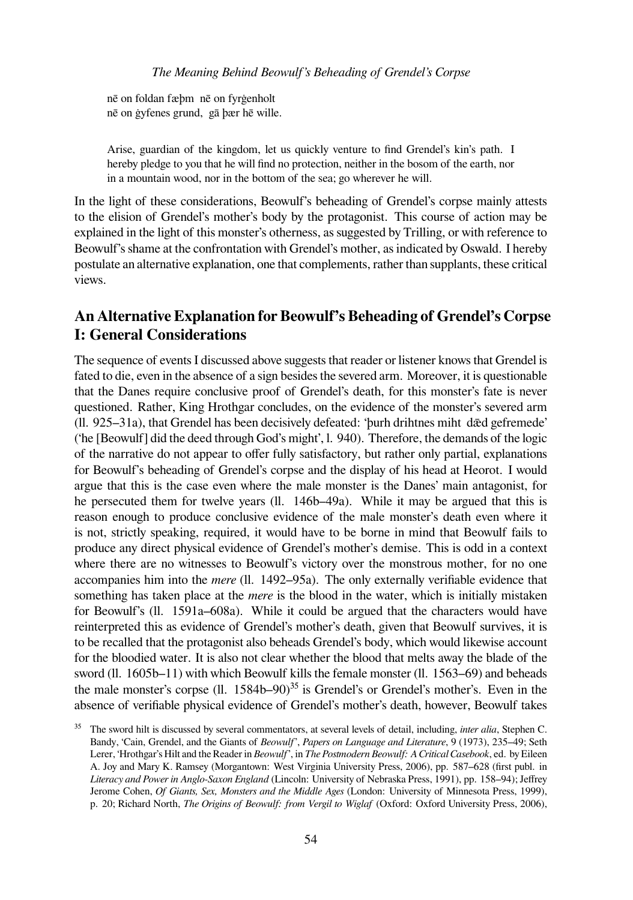nē on foldan fӕþm nē on fyrġenholt nē on ġyfenes grund, gā þӕr hē wille.

Arise, guardian of the kingdom, let us quickly venture to find Grendel's kin's path. I hereby pledge to you that he will find no protection, neither in the bosom of the earth, nor in a mountain wood, nor in the bottom of the sea; go wherever he will.

In the light of these considerations, Beowulf's beheading of Grendel's corpse mainly attests to the elision of Grendel's mother's body by the protagonist. This course of action may be explained in the light of this monster's otherness, as suggested by Trilling, or with reference to Beowulf's shame at the confrontation with Grendel's mother, as indicated by Oswald. I hereby postulate an alternative explanation, one that complements, rather than supplants, these critical views.

## **An Alternative Explanation for Beowulf's Beheading of Grendel's Corpse I: General Considerations**

The sequence of events I discussed above suggests that reader or listener knows that Grendel is fated to die, even in the absence of a sign besides the severed arm. Moreover, it is questionable that the Danes require conclusive proof of Grendel's death, for this monster's fate is never questioned. Rather, King Hrothgar concludes, on the evidence of the monster's severed arm (ll. 925–31a), that Grendel has been decisively defeated: 'þurh drihtnes miht dǣd gefremede' ('he [Beowulf] did the deed through God's might', l. 940). Therefore, the demands of the logic of the narrative do not appear to offer fully satisfactory, but rather only partial, explanations for Beowulf's beheading of Grendel's corpse and the display of his head at Heorot. I would argue that this is the case even where the male monster is the Danes' main antagonist, for he persecuted them for twelve years (ll. 146b–49a). While it may be argued that this is reason enough to produce conclusive evidence of the male monster's death even where it is not, strictly speaking, required, it would have to be borne in mind that Beowulf fails to produce any direct physical evidence of Grendel's mother's demise. This is odd in a context where there are no witnesses to Beowulf's victory over the monstrous mother, for no one accompanies him into the *mere* (ll. 1492–95a). The only externally verifiable evidence that something has taken place at the *mere* is the blood in the water, which is initially mistaken for Beowulf's (ll. 1591a–608a). While it could be argued that the characters would have reinterpreted this as evidence of Grendel's mother's death, given that Beowulf survives, it is to be recalled that the protagonist also beheads Grendel's body, which would likewise account for the bloodied water. It is also not clear whether the blood that melts away the blade of the sword (ll. 1605b–11) with which Beowulf kills the female monster (ll. 1563–69) and beheads the male monster's corpse (ll.  $1584b-90$ )<sup>35</sup> is Grendel's or Grendel's mother's. Even in the absence of verifiable physical evidence of Grendel's mother's death, however, Beowulf takes

<sup>&</sup>lt;sup>35</sup> The sword hilt is discussed by several commentators, at several levels of detail, including, *inter alia*, Stephen C. Bandy, 'Cain, Grendel, and the Giants of *Beowulf*', *Papers on Language and Literature*, 9 (1973), 235–49; Seth Lerer, 'Hrothgar's Hilt and the Reader in *Beowulf*', in *The Postmodern Beowulf: A Critical Casebook*, ed. by Eileen A. Joy and Mary K. Ramsey (Morgantown: West Virginia University Press, 2006), pp. 587–628 (first publ. in *Literacy and Power in Anglo-Saxon England* (Lincoln: University of Nebraska Press, 1991), pp. 158–94); Jeffrey Jerome Cohen, *Of Giants, Sex, Monsters and the Middle Ages* (London: University of Minnesota Press, 1999), p. 20; Richard North, *The Origins of Beowulf: from Vergil to Wiglaf* (Oxford: Oxford University Press, 2006),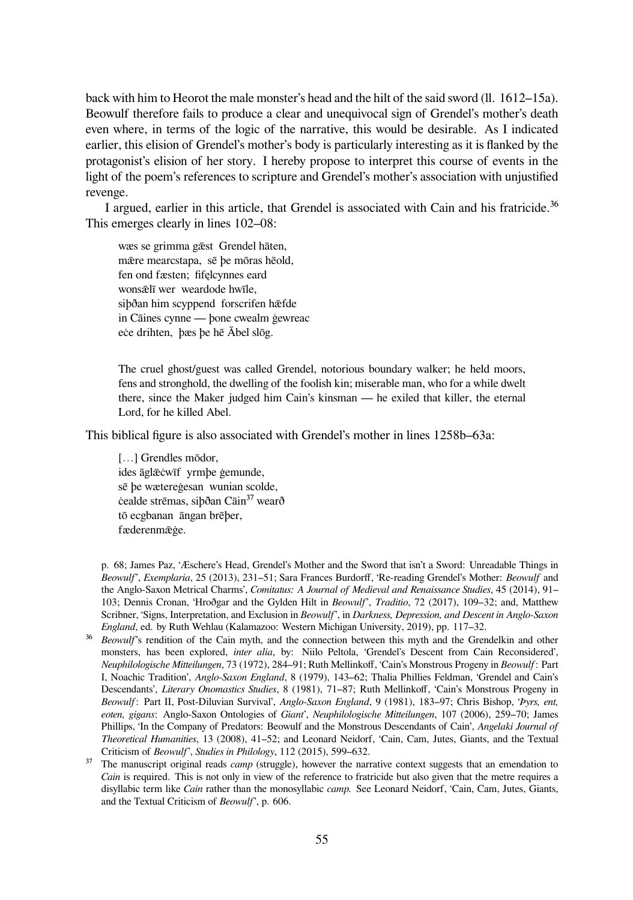back with him to Heorot the male monster's head and the hilt of the said sword (ll. 1612–15a). Beowulf therefore fails to produce a clear and unequivocal sign of Grendel's mother's death even where, in terms of the logic of the narrative, this would be desirable. As I indicated earlier, this elision of Grendel's mother's body is particularly interesting as it is flanked by the protagonist's elision of her story. I hereby propose to interpret this course of events in the light of the poem's references to scripture and Grendel's mother's association with unjustified revenge.

I argued, earlier in this article, that Grendel is associated with Cain and his fratricide. $36$ This emerges clearly in lines 102–08:

wӕs se grimma gǣst Grendel hāten, mǣre mearcstapa, sē þe mōras hēold, fen ond fӕsten; fifęlcynnes eard wonsǣlī wer weardode hwīle, siþðan him scyppend forscrifen hæfde in Cāines cynne — þone cwealm ġewreac eċe drihten, þæs þe hē Ābel slōg.

The cruel ghost/guest was called Grendel, notorious boundary walker; he held moors, fens and stronghold, the dwelling of the foolish kin; miserable man, who for a while dwelt there, since the Maker judged him Cain's kinsman — he exiled that killer, the eternal Lord, for he killed Abel.

This biblical figure is also associated with Grendel's mother in lines 1258b–63a:

[...] Grendles mōdor, ides āglǣċwīf yrmþe ġemunde, sē þe wӕtereġesan wunian scolde, cealde strēmas, siþðan Cāin<sup>37</sup> wearð tō ecgbanan āngan brēþer, fӕderenmǣġe.

p. 68; James Paz, 'Æschere's Head, Grendel's Mother and the Sword that isn't a Sword: Unreadable Things in *Beowulf*', *Exemplaria*, 25 (2013), 231–51; Sara Frances Burdorff, 'Re-reading Grendel's Mother: *Beowulf* and the Anglo-Saxon Metrical Charms', *Comitatus: A Journal of Medieval and Renaissance Studies*, 45 (2014), 91– 103; Dennis Cronan, 'Hroðgar and the Gylden Hilt in *Beowulf*', *Traditio*, 72 (2017), 109–32; and, Matthew Scribner, 'Signs, Interpretation, and Exclusion in *Beowulf*', in *Darkness, Depression, and Descent in Anglo-Saxon England*, ed. by Ruth Wehlau (Kalamazoo: Western Michigan University, 2019), pp. 117–32.

- <sup>36</sup> *Beowulf*'s rendition of the Cain myth, and the connection between this myth and the Grendelkin and other monsters, has been explored, *inter alia*, by: Niilo Peltola, 'Grendel's Descent from Cain Reconsidered', *Neuphilologische Mitteilungen*, 73 (1972), 284–91; Ruth Mellinkoff, 'Cain's Monstrous Progeny in *Beowulf*: Part I, Noachic Tradition', *Anglo-Saxon England*, 8 (1979), 143–62; Thalia Phillies Feldman, 'Grendel and Cain's Descendants', *Literary Onomastics Studies*, 8 (1981), 71–87; Ruth Mellinkoff, 'Cain's Monstrous Progeny in *Beowulf*: Part II, Post-Diluvian Survival', *Anglo-Saxon England*, 9 (1981), 183–97; Chris Bishop, '*Þyrs, ent, eoten, gigans*: Anglo-Saxon Ontologies of *Giant*', *Neuphilologische Mitteilungen*, 107 (2006), 259–70; James Phillips, 'In the Company of Predators: Beowulf and the Monstrous Descendants of Cain', *Angelaki Journal of Theoretical Humanities*, 13 (2008), 41–52; and Leonard Neidorf, 'Cain, Cam, Jutes, Giants, and the Textual Criticism of *Beowulf*', *Studies in Philology*, 112 (2015), 599–632.
- <sup>37</sup> The manuscript original reads *camp* (struggle), however the narrative context suggests that an emendation to *Cain* is required. This is not only in view of the reference to fratricide but also given that the metre requires a disyllabic term like *Cain* rather than the monosyllabic *camp.* See Leonard Neidorf, 'Cain, Cam, Jutes, Giants, and the Textual Criticism of *Beowulf*', p. 606.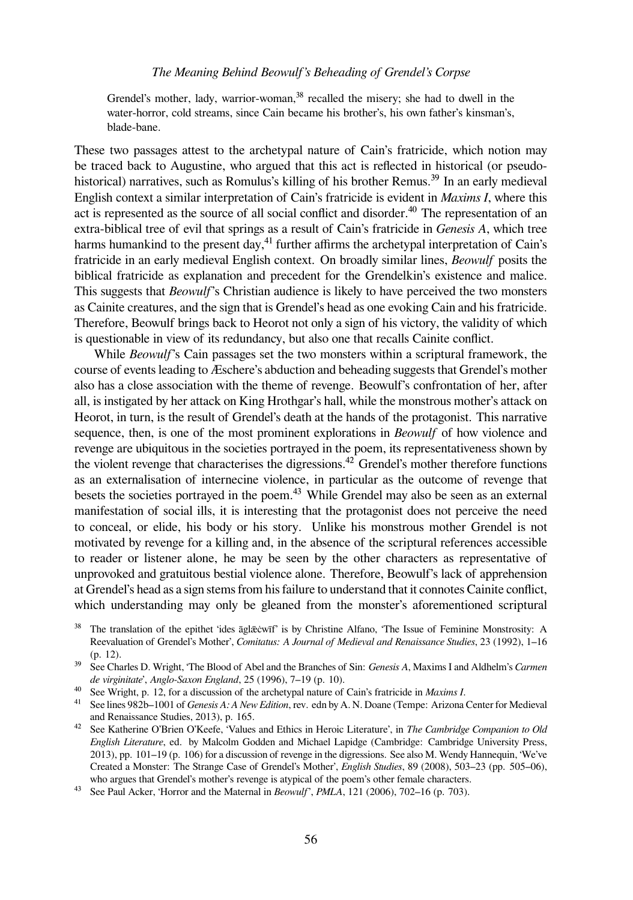#### *The Meaning Behind Beowulf's Beheading of Grendel's Corpse*

Grendel's mother, lady, warrior-woman,<sup>38</sup> recalled the misery; she had to dwell in the water-horror, cold streams, since Cain became his brother's, his own father's kinsman's, blade-bane.

These two passages attest to the archetypal nature of Cain's fratricide, which notion may be traced back to Augustine, who argued that this act is reflected in historical (or pseudohistorical) narratives, such as Romulus's killing of his brother Remus.<sup>39</sup> In an early medieval English context a similar interpretation of Cain's fratricide is evident in *Maxims I*, where this act is represented as the source of all social conflict and disorder.<sup>40</sup> The representation of an extra-biblical tree of evil that springs as a result of Cain's fratricide in *Genesis A*, which tree harms humankind to the present day, $^{41}$  further affirms the archetypal interpretation of Cain's fratricide in an early medieval English context. On broadly similar lines, *Beowulf* posits the biblical fratricide as explanation and precedent for the Grendelkin's existence and malice. This suggests that *Beowulf*'s Christian audience is likely to have perceived the two monsters as Cainite creatures, and the sign that is Grendel's head as one evoking Cain and his fratricide. Therefore, Beowulf brings back to Heorot not only a sign of his victory, the validity of which is questionable in view of its redundancy, but also one that recalls Cainite conflict.

While *Beowulf*'s Cain passages set the two monsters within a scriptural framework, the course of events leading to Æschere's abduction and beheading suggests that Grendel's mother also has a close association with the theme of revenge. Beowulf's confrontation of her, after all, is instigated by her attack on King Hrothgar's hall, while the monstrous mother's attack on Heorot, in turn, is the result of Grendel's death at the hands of the protagonist. This narrative sequence, then, is one of the most prominent explorations in *Beowulf* of how violence and revenge are ubiquitous in the societies portrayed in the poem, its representativeness shown by the violent revenge that characterises the digressions. $^{42}$  Grendel's mother therefore functions as an externalisation of internecine violence, in particular as the outcome of revenge that besets the societies portrayed in the poem.<sup>43</sup> While Grendel may also be seen as an external manifestation of social ills, it is interesting that the protagonist does not perceive the need to conceal, or elide, his body or his story. Unlike his monstrous mother Grendel is not motivated by revenge for a killing and, in the absence of the scriptural references accessible to reader or listener alone, he may be seen by the other characters as representative of unprovoked and gratuitous bestial violence alone. Therefore, Beowulf's lack of apprehension at Grendel's head as a sign stems from his failure to understand that it connotes Cainite conflict, which understanding may only be gleaned from the monster's aforementioned scriptural

<sup>&</sup>lt;sup>38</sup> The translation of the epithet 'ides āglǣcwīf' is by Christine Alfano, 'The Issue of Feminine Monstrosity: A Reevaluation of Grendel's Mother', *Comitatus: A Journal of Medieval and Renaissance Studies*, 23 (1992), 1–16 (p. 12).

³⁹ See Charles D. Wright, 'The Blood of Abel and the Branches of Sin: *Genesis A*, Maxims I and Aldhelm's *Carmen de virginitate*', *Anglo-Saxon England*, 25 (1996), 7–19 (p. 10).

⁴⁰ See Wright, p. 12, for a discussion of the archetypal nature of Cain's fratricide in *Maxims I*.

<sup>&</sup>lt;sup>41</sup> See lines 982b–1001 of *Genesis A: A New Edition*, rev. edn by A. N. Doane (Tempe: Arizona Center for Medieval and Renaissance Studies, 2013), p. 165.

<sup>&</sup>lt;sup>42</sup> See Katherine O'Brien O'Keefe, 'Values and Ethics in Heroic Literature', in *The Cambridge Companion to Old English Literature*, ed. by Malcolm Godden and Michael Lapidge (Cambridge: Cambridge University Press, 2013), pp. 101–19 (p. 106) for a discussion of revenge in the digressions. See also M. Wendy Hannequin, 'We've Created a Monster: The Strange Case of Grendel's Mother', *English Studies*, 89 (2008), 503–23 (pp. 505–06), who argues that Grendel's mother's revenge is atypical of the poem's other female characters.

⁴³ See Paul Acker, 'Horror and the Maternal in *Beowulf*', *PMLA*, 121 (2006), 702–16 (p. 703).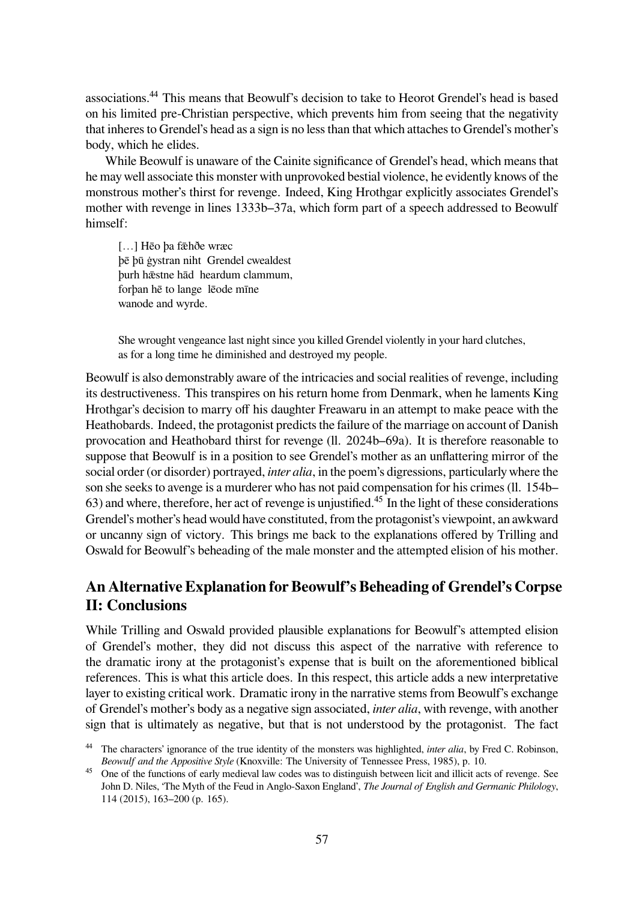associations.<sup>44</sup> This means that Beowulf's decision to take to Heorot Grendel's head is based on his limited pre-Christian perspective, which prevents him from seeing that the negativity that inheres to Grendel's head as a sign is no less than that which attaches to Grendel's mother's body, which he elides.

While Beowulf is unaware of the Cainite significance of Grendel's head, which means that he may well associate this monster with unprovoked bestial violence, he evidently knows of the monstrous mother's thirst for revenge. Indeed, King Hrothgar explicitly associates Grendel's mother with revenge in lines 1333b–37a, which form part of a speech addressed to Beowulf himself:

[...] Hēo þa fæhðe wræc þē þū ġystran niht Grendel cwealdest þurh hǣstne hād heardum clammum, forþan hē to lange lēode mīne wanode and wyrde.

She wrought vengeance last night since you killed Grendel violently in your hard clutches, as for a long time he diminished and destroyed my people.

Beowulf is also demonstrably aware of the intricacies and social realities of revenge, including its destructiveness. This transpires on his return home from Denmark, when he laments King Hrothgar's decision to marry off his daughter Freawaru in an attempt to make peace with the Heathobards. Indeed, the protagonist predicts the failure of the marriage on account of Danish provocation and Heathobard thirst for revenge (ll. 2024b–69a). It is therefore reasonable to suppose that Beowulf is in a position to see Grendel's mother as an unflattering mirror of the social order (or disorder) portrayed, *inter alia*, in the poem's digressions, particularly where the son she seeks to avenge is a murderer who has not paid compensation for his crimes (ll. 154b– 63) and where, therefore, her act of revenge is unjustified.<sup>45</sup> In the light of these considerations Grendel's mother's head would have constituted, from the protagonist's viewpoint, an awkward or uncanny sign of victory. This brings me back to the explanations offered by Trilling and Oswald for Beowulf's beheading of the male monster and the attempted elision of his mother.

## **An Alternative Explanation for Beowulf's Beheading of Grendel's Corpse II: Conclusions**

While Trilling and Oswald provided plausible explanations for Beowulf's attempted elision of Grendel's mother, they did not discuss this aspect of the narrative with reference to the dramatic irony at the protagonist's expense that is built on the aforementioned biblical references. This is what this article does. In this respect, this article adds a new interpretative layer to existing critical work. Dramatic irony in the narrative stems from Beowulf's exchange of Grendel's mother's body as a negative sign associated, *inter alia*, with revenge, with another sign that is ultimately as negative, but that is not understood by the protagonist. The fact

<sup>&</sup>lt;sup>44</sup> The characters' ignorance of the true identity of the monsters was highlighted, *inter alia*, by Fred C. Robinson, *Beowulf and the Appositive Style* (Knoxville: The University of Tennessee Press, 1985), p. 10.

<sup>&</sup>lt;sup>45</sup> One of the functions of early medieval law codes was to distinguish between licit and illicit acts of revenge. See John D. Niles, 'The Myth of the Feud in Anglo-Saxon England', *The Journal of English and Germanic Philology*, 114 (2015), 163–200 (p. 165).